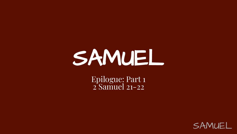# SAMUEL

Epilogue: Part 1 2 Samuel 21-22

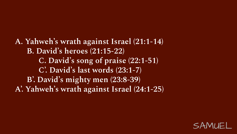**A. Yahweh's wrath against Israel (21:1-14) B. David's heroes (21:15-22) C. David's song of praise (22:1-51) C'. David's last words (23:1-7) B'. David's mighty men (23:8-39) A'. Yahweh's wrath against Israel (24:1-25)**

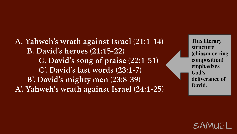**A. Yahweh's wrath against Israel (21:1-14) B. David's heroes (21:15-22) C. David's song of praise (22:1-51) C'. David's last words (23:1-7) B'. David's mighty men (23:8-39) A'. Yahweh's wrath against Israel (24:1-25)**

**This literary structure (chiasm or ring composition) emphasizes God's deliverance of David.** 

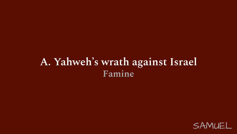#### **A. Yahweh's wrath against Israel Famine**

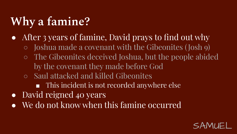# **Why a famine?**

- After 3 years of famine, David prays to find out why
	- Joshua made a covenant with the Gibeonites ( Josh 9)
	- The Gibeonites deceived Joshua, but the people abided by the covenant they made before God
	- Saul attacked and killed Gibeonites
		- This incident is not recorded anywhere else
- David reigned 40 years
- We do not know when this famine occurred

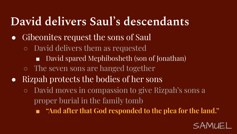### **David delivers Saul's descendants**

- Gibeonites request the sons of Saul
	- David delivers them as requested
		- David spared Mephibosheth (son of Jonathan)
	- The seven sons are hanged together
- Rizpah protects the bodies of her sons
	- David moves in compassion to give Rizpah's sons a proper burial in the family tomb
		- **■ "And after that God responded to the plea for the land."**

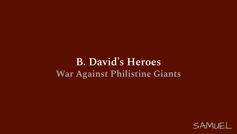#### **B. David's Heroes War Against Philistine Giants**

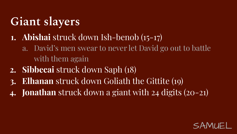# **Giant slayers**

#### **1. Abishai** struck down Ish-benob (15-17)

- a. David's men swear to never let David go out to battle with them again
- **2. Sibbecai** struck down Saph (18)
- **3. Elhanan** struck down Goliath the Gittite (19)
- **4. Jonathan** struck down a giant with 24 digits (20-21)

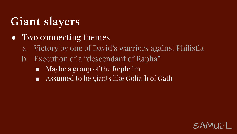### **Giant slayers**

- Two connecting themes
	- a. Victory by one of David's warriors against Philistia
	- b. Execution of a "descendant of Rapha"
		- Maybe a group of the Rephaim
		- Assumed to be giants like Goliath of Gath

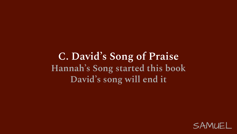**C. David's Song of Praise Hannah's Song started this book David's song will end it**

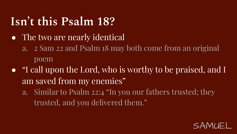### **Isn't this Psalm 18?**

- The two are nearly identical
	- a. 2 Sam 22 and Psalm 18 may both come from an original poem
- "I call upon the Lord, who is worthy to be praised, and I am saved from my enemies"
	- a. Similar to Psalm 22:4 "In you our fathers trusted; they trusted, and you delivered them."

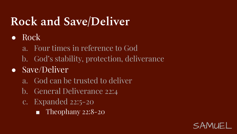### **Rock and Save/Deliver**

- Rock
	- a. Four times in reference to God
	- b. God's stability, protection, deliverance
- Save/Deliver
	- a. God can be trusted to deliver
	- b. General Deliverance 22:4
	- c. Expanded 22:5-20
		- Theophany 22:8-20

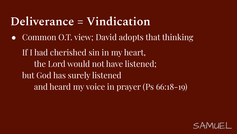### **Deliverance = Vindication**

• Common O.T. view; David adopts that thinking

If I had cherished sin in my heart, the Lord would not have listened; but God has surely listened and heard my voice in prayer (Ps 66:18-19)